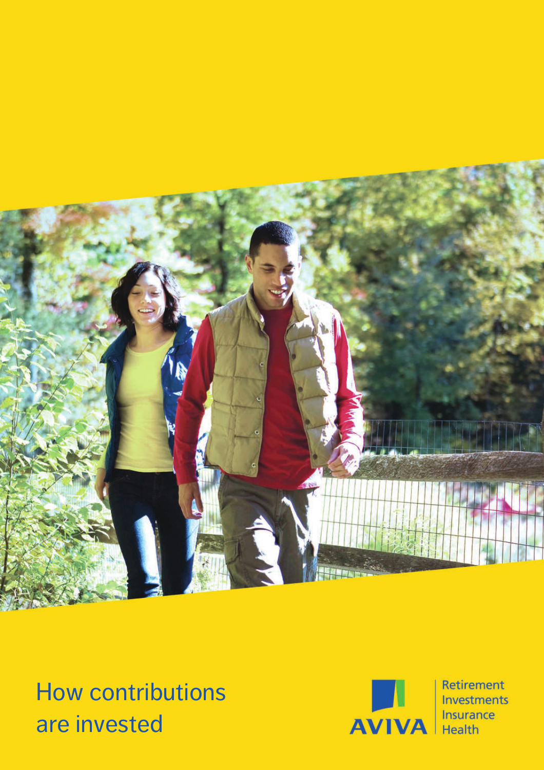

How contributions are invested



Retirement Investments Insurance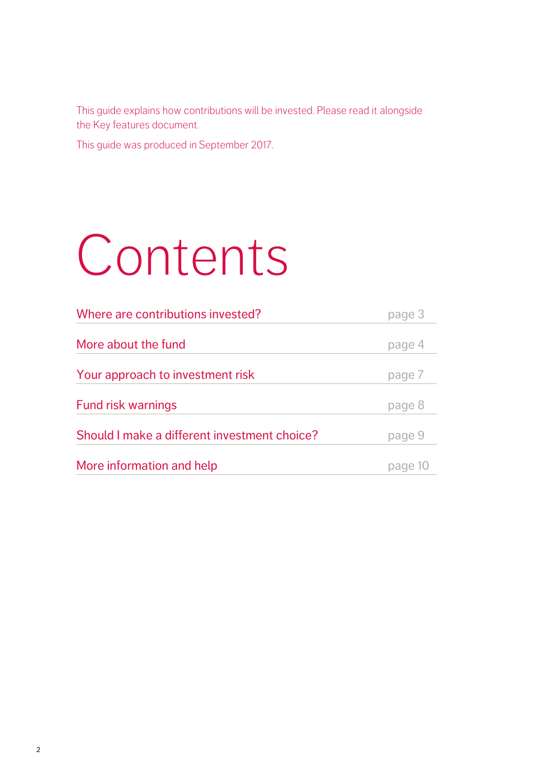This guide explains how contributions will be invested. Please read it alongside the Key features document.

This guide was produced in September 2017.

# Contents

| Where are contributions invested?            | page 3 |  |  |
|----------------------------------------------|--------|--|--|
|                                              |        |  |  |
| More about the fund                          | page 4 |  |  |
|                                              |        |  |  |
| Your approach to investment risk             | page 7 |  |  |
|                                              |        |  |  |
| <b>Fund risk warnings</b>                    | page 8 |  |  |
| Should I make a different investment choice? | page 9 |  |  |
|                                              |        |  |  |
| More information and help                    | page   |  |  |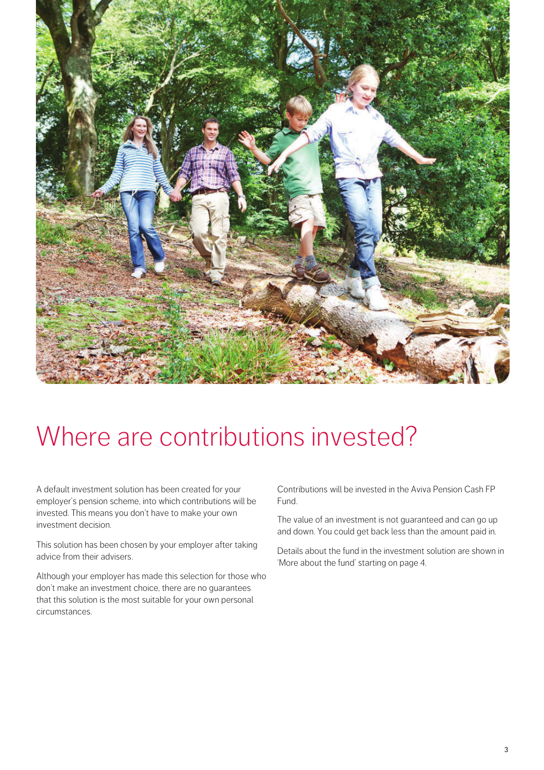

# Where are contributions invested?

A default investment solution has been created for your employer's pension scheme, into which contributions will be invested. This means you don't have to make your own investment decision.

This solution has been chosen by your employer after taking advice from their advisers.

Although your employer has made this selection for those who don't make an investment choice, there are no guarantees that this solution is the most suitable for your own personal circumstances.

Contributions will be invested in the Aviva Pension Cash FP Fund.

The value of an investment is not guaranteed and can go up and down. You could get back less than the amount paid in.

Details about the fund in the investment solution are shown in 'More about the fund' starting on page 4.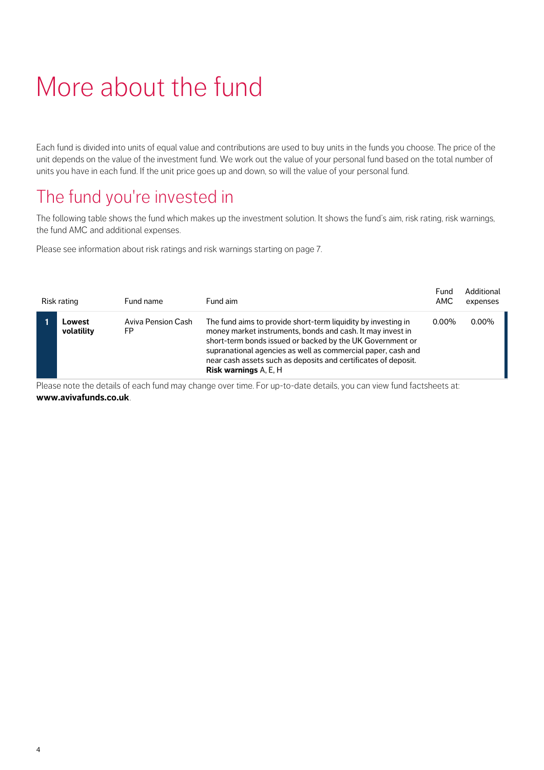# More about the fund

Each fund is divided into units of equal value and contributions are used to buy units in the funds you choose. The price of the unit depends on the value of the investment fund. We work out the value of your personal fund based on the total number of units you have in each fund. If the unit price goes up and down, so will the value of your personal fund.

### The fund you're invested in

The following table shows the fund which makes up the investment solution. It shows the fund's aim, risk rating, risk warnings, the fund AMC and additional expenses.

Please see information about risk ratings and risk warnings starting on page 7.

| Risk rating          | Fund name                       | Fund aim                                                                                                                                                                                                                                                                                                                                                   | Fund<br>AMC | Additional<br>expenses |
|----------------------|---------------------------------|------------------------------------------------------------------------------------------------------------------------------------------------------------------------------------------------------------------------------------------------------------------------------------------------------------------------------------------------------------|-------------|------------------------|
| Lowest<br>volatility | <b>Aviva Pension Cash</b><br>FP | The fund aims to provide short-term liquidity by investing in<br>money market instruments, bonds and cash. It may invest in<br>short-term bonds issued or backed by the UK Government or<br>supranational agencies as well as commercial paper, cash and<br>near cash assets such as deposits and certificates of deposit.<br><b>Risk warnings</b> A, E, H | $0.00\%$    | $0.00\%$               |

Please note the details of each fund may change over time. For up-to-date details, you can view fund factsheets at: **www.avivafunds.co.uk**.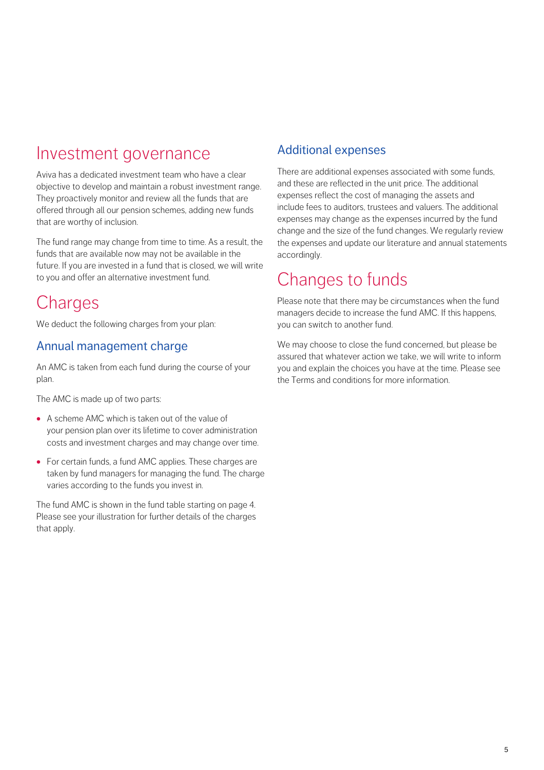### Investment governance

Aviva has a dedicated investment team who have a clear objective to develop and maintain a robust investment range. They proactively monitor and review all the funds that are offered through all our pension schemes, adding new funds that are worthy of inclusion.

The fund range may change from time to time. As a result, the funds that are available now may not be available in the future. If you are invested in a fund that is closed, we will write to you and offer an alternative investment fund.

### **Charges**

We deduct the following charges from your plan:

#### Annual management charge

An AMC is taken from each fund during the course of your plan.

The AMC is made up of two parts:

- **·** A scheme AMC which is taken out of the value of your pension plan over its lifetime to cover administration costs and investment charges and may change over time.
- **·** For certain funds, a fund AMC applies. These charges are taken by fund managers for managing the fund. The charge varies according to the funds you invest in.

Please see your illustration for further details of the charges that apply. The fund AMC is shown in the fund table starting on page 4.

#### Additional expenses

There are additional expenses associated with some funds, and these are reflected in the unit price. The additional expenses reflect the cost of managing the assets and include fees to auditors, trustees and valuers. The additional expenses may change as the expenses incurred by the fund change and the size of the fund changes. We regularly review the expenses and update our literature and annual statements accordingly.

### Changes to funds

Please note that there may be circumstances when the fund managers decide to increase the fund AMC. If this happens, you can switch to another fund.

We may choose to close the fund concerned, but please be assured that whatever action we take, we will write to inform you and explain the choices you have at the time. Please see the Terms and conditions for more information.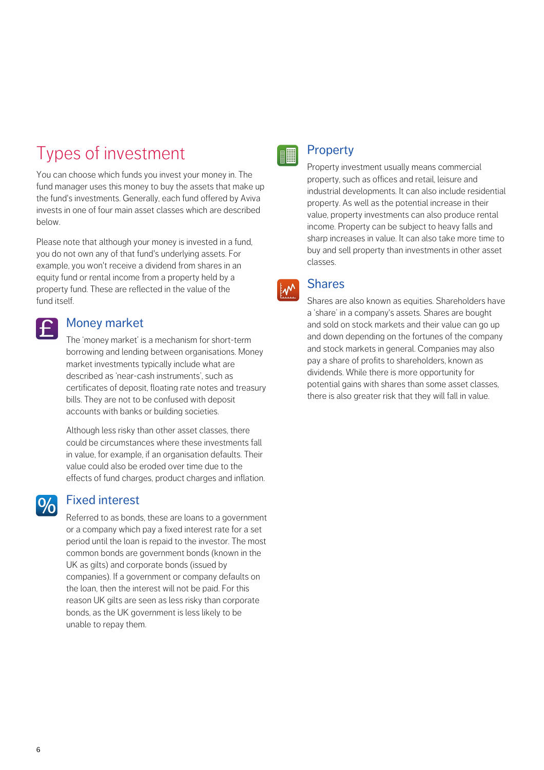### Types of investment

You can choose which funds you invest your money in. The fund manager uses this money to buy the assets that make up the fund's investments. Generally, each fund offered by Aviva invests in one of four main asset classes which are described below.

Please note that although your money is invested in a fund, you do not own any of that fund's underlying assets. For example, you won't receive a dividend from shares in an equity fund or rental income from a property held by a property fund. These are reflected in the value of the fund itself.

#### Money market

 $\vert \boldsymbol{\mathsf{f}} \vert$ 

 $9/6$ 

The 'money market' is a mechanism for short-term borrowing and lending between organisations. Money market investments typically include what are described as 'near-cash instruments', such as certificates of deposit, floating rate notes and treasury bills. They are not to be confused with deposit accounts with banks or building societies.

Although less risky than other asset classes, there could be circumstances where these investments fall in value, for example, if an organisation defaults. Their value could also be eroded over time due to the effects of fund charges, product charges and inflation.

#### Fixed interest

Referred to as bonds, these are loans to a government or a company which pay a fixed interest rate for a set period until the loan is repaid to the investor. The most common bonds are government bonds (known in the UK as gilts) and corporate bonds (issued by companies). If a government or company defaults on the loan, then the interest will not be paid. For this reason UK gilts are seen as less risky than corporate bonds, as the UK government is less likely to be unable to repay them.



#### **Property**

Property investment usually means commercial property, such as offices and retail, leisure and industrial developments. It can also include residential property. As well as the potential increase in their value, property investments can also produce rental income. Property can be subject to heavy falls and sharp increases in value. It can also take more time to buy and sell property than investments in other asset classes.

#### **Shares**  $\mathsf{L} \mathsf{M}$

Shares are also known as equities. Shareholders have a 'share' in a company's assets. Shares are bought and sold on stock markets and their value can go up and down depending on the fortunes of the company and stock markets in general. Companies may also pay a share of profits to shareholders, known as dividends. While there is more opportunity for potential gains with shares than some asset classes, there is also greater risk that they will fall in value.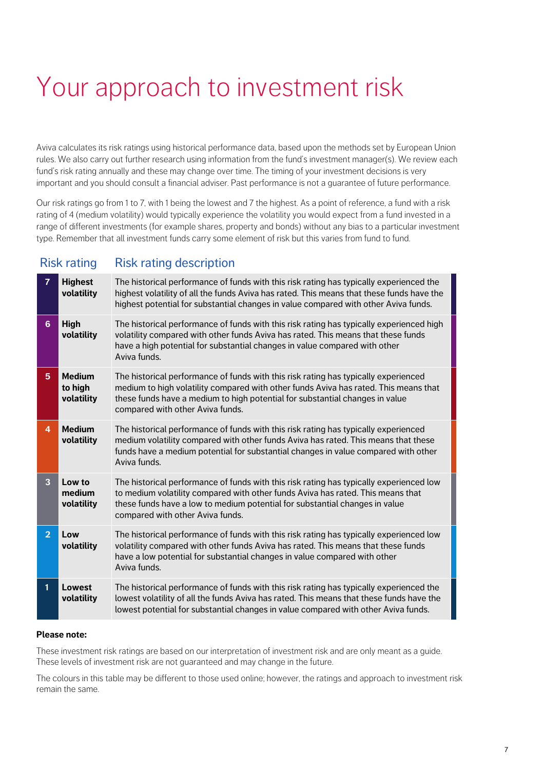# Your approach to investment risk

Aviva calculates its risk ratings using historical performance data, based upon the methods set by European Union rules. We also carry out further research using information from the fund's investment manager(s). We review each fund's risk rating annually and these may change over time. The timing of your investment decisions is very important and you should consult a financial adviser. Past performance is not a guarantee of future performance.

Our risk ratings go from 1 to 7, with 1 being the lowest and 7 the highest. As a point of reference, a fund with a risk rating of 4 (medium volatility) would typically experience the volatility you would expect from a fund invested in a range of different investments (for example shares, property and bonds) without any bias to a particular investment type. Remember that all investment funds carry some element of risk but this varies from fund to fund.

#### Risk rating Risk rating description

| $\overline{7}$ | <b>Highest</b><br>volatility           | The historical performance of funds with this risk rating has typically experienced the<br>highest volatility of all the funds Aviva has rated. This means that these funds have the<br>highest potential for substantial changes in value compared with other Aviva funds.                     |
|----------------|----------------------------------------|-------------------------------------------------------------------------------------------------------------------------------------------------------------------------------------------------------------------------------------------------------------------------------------------------|
| 6 <sup>1</sup> | High<br>volatility                     | The historical performance of funds with this risk rating has typically experienced high<br>volatility compared with other funds Aviva has rated. This means that these funds<br>have a high potential for substantial changes in value compared with other<br>Aviva funds.                     |
| 5              | <b>Medium</b><br>to high<br>volatility | The historical performance of funds with this risk rating has typically experienced<br>medium to high volatility compared with other funds Aviva has rated. This means that<br>these funds have a medium to high potential for substantial changes in value<br>compared with other Aviva funds. |
| 4              | <b>Medium</b><br>volatility            | The historical performance of funds with this risk rating has typically experienced<br>medium volatility compared with other funds Aviva has rated. This means that these<br>funds have a medium potential for substantial changes in value compared with other<br>Aviva funds.                 |
| 3              | Low to<br>medium<br>volatility         | The historical performance of funds with this risk rating has typically experienced low<br>to medium volatility compared with other funds Aviva has rated. This means that<br>these funds have a low to medium potential for substantial changes in value<br>compared with other Aviva funds.   |
| $\overline{2}$ | Low<br>volatility                      | The historical performance of funds with this risk rating has typically experienced low<br>volatility compared with other funds Aviva has rated. This means that these funds<br>have a low potential for substantial changes in value compared with other<br>Aviva funds.                       |
| 1              | Lowest<br>volatility                   | The historical performance of funds with this risk rating has typically experienced the<br>lowest volatility of all the funds Aviva has rated. This means that these funds have the<br>lowest potential for substantial changes in value compared with other Aviva funds.                       |

#### **Please note:**

These investment risk ratings are based on our interpretation of investment risk and are only meant as a guide. These levels of investment risk are not guaranteed and may change in the future.

The colours in this table may be different to those used online; however, the ratings and approach to investment risk remain the same.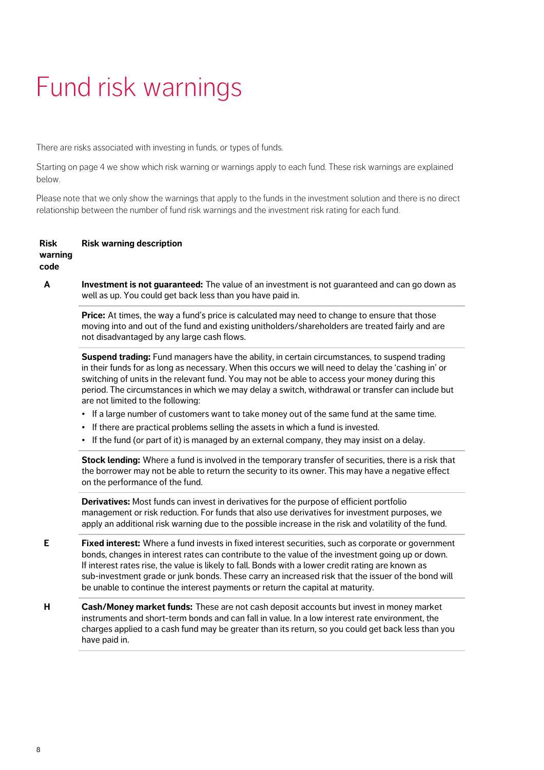# Fund risk warnings

There are risks associated with investing in funds, or types of funds.

below. Starting on page 4 we show which risk warning or warnings apply to each fund. These risk warnings are explained

Please note that we only show the warnings that apply to the funds in the investment solution and there is no direct relationship between the number of fund risk warnings and the investment risk rating for each fund.

#### **Risk warning code Risk warning description**

**A Investment is not guaranteed:** The value of an investment is not guaranteed and can go down as well as up. You could get back less than you have paid in.

**Price:** At times, the way a fund's price is calculated may need to change to ensure that those moving into and out of the fund and existing unitholders/shareholders are treated fairly and are not disadvantaged by any large cash flows.

**Suspend trading:** Fund managers have the ability, in certain circumstances, to suspend trading in their funds for as long as necessary. When this occurs we will need to delay the 'cashing in' or switching of units in the relevant fund. You may not be able to access your money during this period. The circumstances in which we may delay a switch, withdrawal or transfer can include but are not limited to the following:

- **•** If a large number of customers want to take money out of the same fund at the same time.
- **•** If there are practical problems selling the assets in which a fund is invested.
- **•**If the fund (or part of it) is managed by an external company, they may insist on a delay.

**Stock lending:** Where a fund is involved in the temporary transfer of securities, there is a risk that the borrower may not be able to return the security to its owner. This may have a negative effect on the performance of the fund.

**Derivatives:** Most funds can invest in derivatives for the purpose of efficient portfolio management or risk reduction. For funds that also use derivatives for investment purposes, we apply an additional risk warning due to the possible increase in the risk and volatility of the fund.

- **E Fixed interest:** Where a fund invests in fixed interest securities, such as corporate or government bonds, changes in interest rates can contribute to the value of the investment going up or down. If interest rates rise, the value is likely to fall. Bonds with a lower credit rating are known as sub-investment grade or junk bonds. These carry an increased risk that the issuer of the bond will be unable to continue the interest payments or return the capital at maturity.
- **H Cash/Money market funds:** These are not cash deposit accounts but invest in money market instruments and short-term bonds and can fall in value. In a low interest rate environment, the charges applied to a cash fund may be greater than its return, so you could get back less than you have paid in.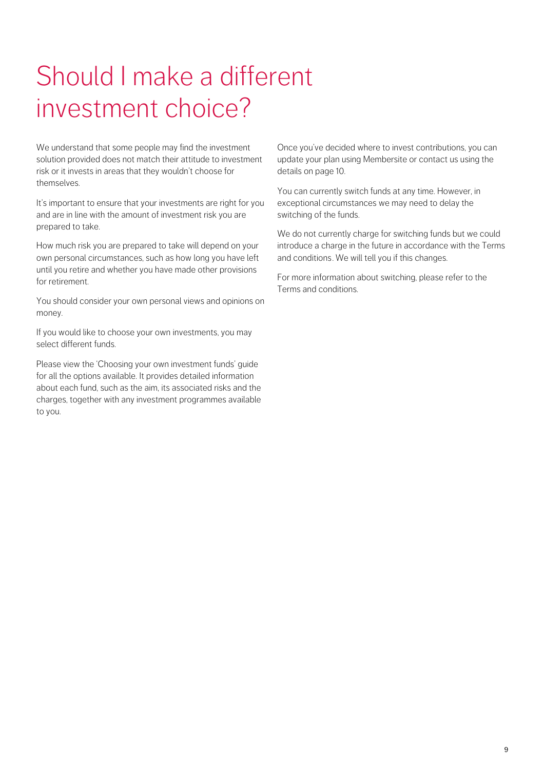# Should I make a different investment choice?

We understand that some people may find the investment solution provided does not match their attitude to investment risk or it invests in areas that they wouldn't choose for themselves.

It's important to ensure that your investments are right for you and are in line with the amount of investment risk you are prepared to take.

How much risk you are prepared to take will depend on your own personal circumstances, such as how long you have left until you retire and whether you have made other provisions for retirement.

You should consider your own personal views and opinions on money.

If you would like to choose your own investments, you may select different funds.

Please view the 'Choosing your own investment funds' guide for all the options available. It provides detailed information about each fund, such as the aim, its associated risks and the charges, together with any investment programmes available to you.

Once you've decided where to invest contributions, you can update your plan using Membersite or contact us using the details on page 10.

You can currently switch funds at any time. However, in exceptional circumstances we may need to delay the switching of the funds.

We do not currently charge for switching funds but we could introduce a charge in the future in accordance with the Terms and conditions. We will tell you if this changes.

For more information about switching, please refer to the Terms and conditions.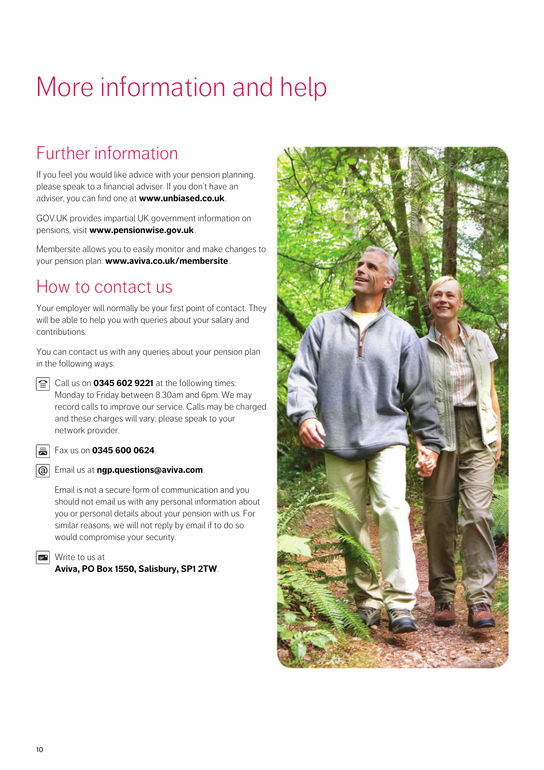# More information and help

## Further information

If you feel you would like advice with your pension planning, please speak to a financial adviser. If you don't have an adviser, you can find one at **www.unbiased.co.uk**.

GOV.UK provides impartial UK government information on pensions, visit **www.pensionwise.gov.uk**.

Membersite allows you to easily monitor and make changes to your pension plan: **www.aviva.co.uk/membersite**.

### How to contact us

Your employer will normally be your first point of contact. They will be able to help you with queries about your salary and contributions.

You can contact us with any queries about your pension plan in the following ways:

Call us on **0345 602 9221** at the following times: Monday to Friday between 8.30am and 6pm. We may record calls to improve our service. Calls may be charged and these charges will vary; please speak to your network provider.

**B** Fax us on **0345 600 0624**.

Email us at **ngp.questions@aviva.com**.

Email is not a secure form of communication and you should not email us with any personal information about you or personal details about your pension with us. For similar reasons, we will not reply by email if to do so would compromise your security.

**EX** Write to us at

**Aviva, PO Box 1550, Salisbury, SP1 2TW**.